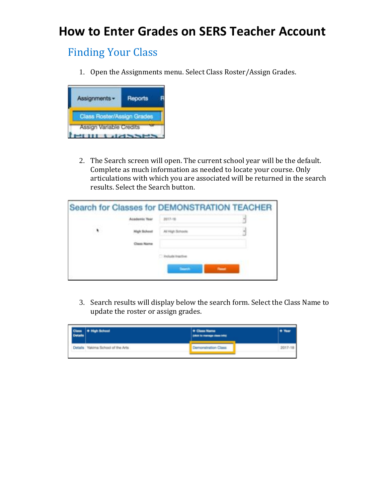# **How to Enter Grades on SERS Teacher Account**

### Finding Your Class

1. Open the Assignments menu. Select Class Roster/Assign Grades.



2. The Search screen will open. The current school year will be the default. Complete as much information as needed to locate your course. Only articulations with which you are associated will be returned in the search results. Select the Search button.

|   |   | <b>Search for Classes for DEMONSTRATION TEACHER</b> |
|---|---|-----------------------------------------------------|
|   |   |                                                     |
| ٠ |   |                                                     |
|   |   |                                                     |
|   |   |                                                     |
|   | - | -                                                   |

3. Search results will display below the search form. Select the Class Name to update the roster or assign grades.

| Class + High School<br>Details    | + Class Name<br><b>Solicity and Construction Control</b> |         |
|-----------------------------------|----------------------------------------------------------|---------|
| Details Yakima School of the Arts | Demonstration Class                                      | 2017-18 |